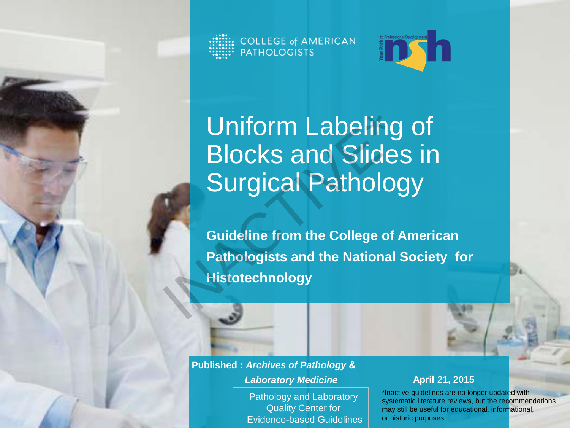COLLEGE of AMERICAN<br>PATHOLOGISTS



Uniform Labeling of Blocks and Slides in Surgical Pathology Uniform Labeling<br>Blocks and Slides<br>Surgical Patholog<br>Guideline from the College of A<br>Pathologists and the National S<br>Histotechnology

**Guideline from the College of American Pathologists and the National Society for Histotechnology** 

**Published :** *Archives of Pathology & Laboratory Medicine*

> Pathology and Laboratory Quality Center for Evidence-based Guidelines

#### **April 21, 2015**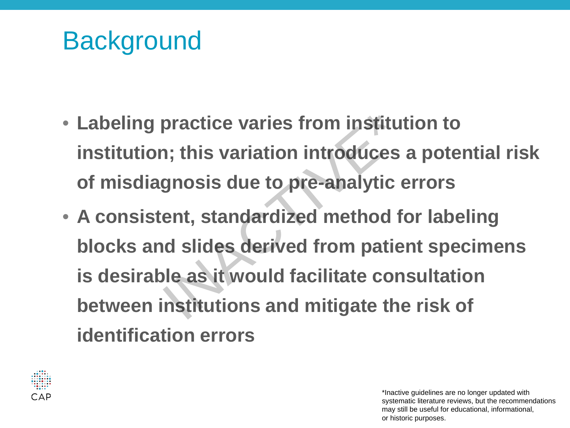#### **Background**

- **Labeling practice varies from institution to institution; this variation introduces a potential risk of misdiagnosis due to pre-analytic errors**
- **A consistent, standardized method for labeling blocks and slides derived from patient specimens is desirable as it would facilitate consultation between institutions and mitigate the risk of identification errors** practice varies from institut<br>
1; this variation introduces<br>
gnosis due to pre-analytic e<br>
ent, standardized method for<br>
id slides derived from patie<br>
ile as it would facilitate cons<br>
institutions and mitigate the

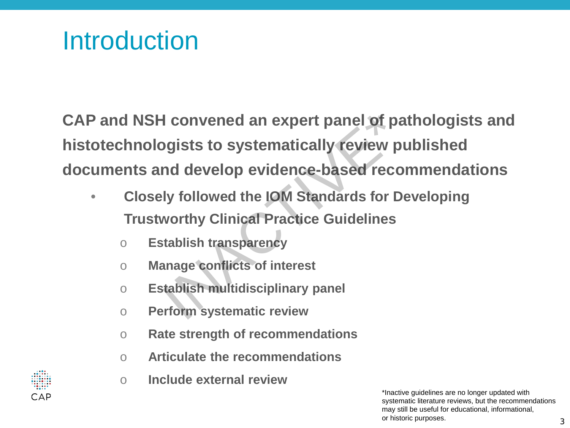#### **Introduction**

**CAP and NSH convened an expert panel of pathologists and histotechnologists to systematically review published documents and develop evidence-based recommendations** I convened an expert panel of pa<br>
pgists to systematically review pu<br>
Ind develop evidence-based recor<br>
Iy followed the IOM Standards for De<br>
worthy Clinical Practice Guidelines<br>
stablish transparency<br>
anage conflicts of i

- **Closely followed the IOM Standards for Developing Trustworthy Clinical Practice Guidelines**
	- o **Establish transparency**
	- o **Manage conflicts of interest**
	- o **Establish multidisciplinary panel**
	- o **Perform systematic review**
	- o **Rate strength of recommendations**
	- o **Articulate the recommendations**
	- o **Include external review**

3

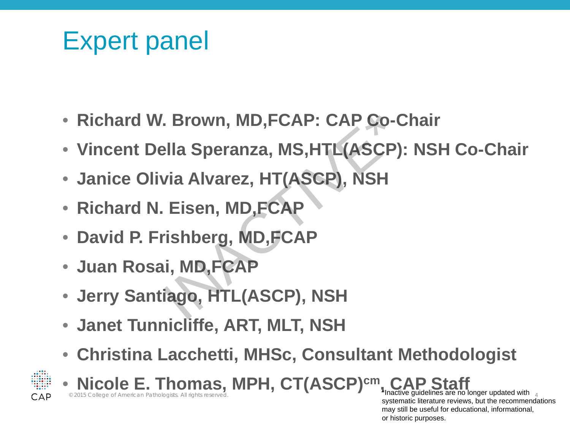#### Expert panel

- **Richard W. Brown, MD,FCAP: CAP Co-Chair**
- **Vincent Della Speranza, MS,HTL(ASCP): NSH Co-Chair** Sown, MD,FCAP: CAP Co-C<br>
Solar Speranza, MS,HTL(ASCP):<br>
Via Alvarez, HT(ASCP), NSH<br>
Eisen, MD,FCAP<br>
Tishberg, MD,FCAP<br>
ii, MD,FCAP<br>
iago, HTL(ASCP), NSH
- **Janice Olivia Alvarez, HT(ASCP), NSH**
- **Richard N. Eisen, MD,FCAP**
- **David P. Frishberg, MD,FCAP**
- **Juan Rosai, MD,FCAP**
- **Jerry Santiago, HTL(ASCP), NSH**
- **Janet Tunnicliffe, ART, MLT, NSH**
- **Christina Lacchetti, MHSc, Consultant Methodologist**



**6 Nicole E. Thomas, MPH, CT(ASCP)cm EXECTS COLLEGE OF AMERICAN PATHOLOgists. All rights reserved.** 4 **1999 1999. The second of the second of the second of the second of the second of the second of the second of the second of the second of the second of the** 

systematic literature reviews, but the recommendations may still be useful for educational, informational, or historic purposes.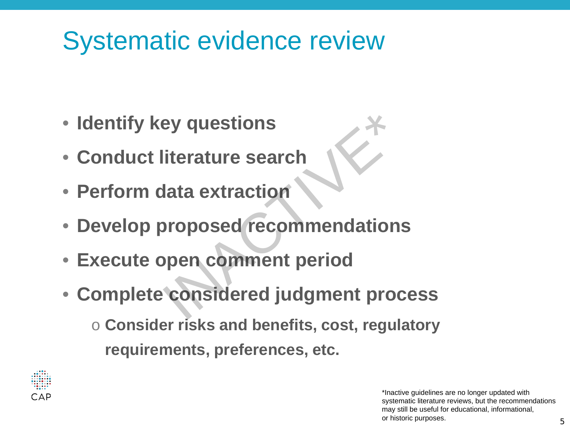#### Systematic evidence review

- **Identify key questions**
- **Conduct literature search**
- **Perform data extraction**
- **Develop proposed recommendations**
- **Execute open comment period**
- **Complete considered judgment process** ey questions<br>
<br>
literature search<br>
lata extraction<br>
proposed recommendations<br>
pen comment period<br>
considered judgment proc
	- o **Consider risks and benefits, cost, regulatory requirements, preferences, etc.**

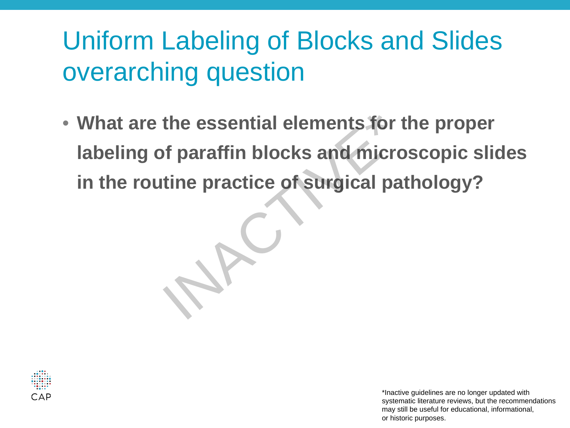#### Uniform Labeling of Blocks and Slides overarching question

• **What are the essential elements for the proper labeling of paraffin blocks and microscopic slides**  What are the essential elements for the properties and microscopic state in the routine practice of surgical pathology?

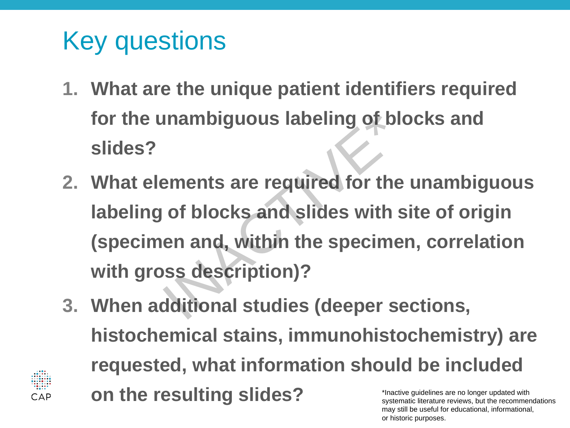### Key questions

- **1. What are the unique patient identifiers required for the unambiguous labeling of blocks and slides?**
- **2. What elements are required for the unambiguous labeling of blocks and slides with site of origin (specimen and, within the specimen, correlation with gross description)?** Inambiguous labeling of blo<br>
ements are required for the<br>
of blocks and slides with s<br>
en and, within the specime<br>
Supersty and Sustainables<br>
Supersty and Sustainables<br>
distinger of the specime<br>
distinger of the specime<br>
d
- **3. When additional studies (deeper sections, histochemical stains, immunohistochemistry) are requested, what information should be included on the resulting slides?**  \*Inactive guidelines are no longer updated with systematic literature reviews, but the recommendations

may still be useful for educational, informational,

or historic purposes.

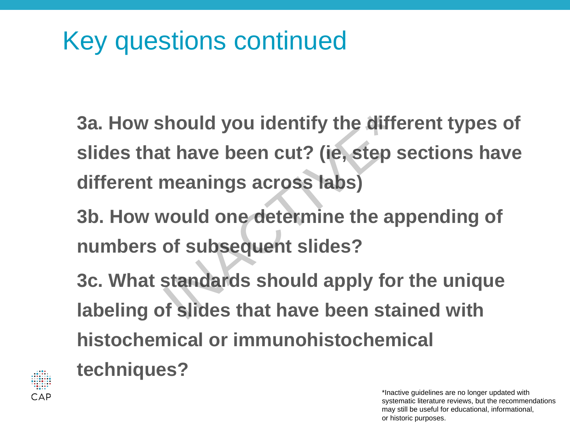#### Key questions continued

- **3a. How should you identify the different types of slides that have been cut? (ie, step sections have different meanings across labs)** should you identify the differt have been cut? (ie, step s<br>meanings across labs)<br>would one determine the ap<br>of subsequent slides?<br>standards should apply for<br>of slides that have been stai
- **3b. How would one determine the appending of numbers of subsequent slides?**
- **3c. What standards should apply for the unique labeling of slides that have been stained with histochemical or immunohistochemical**



**techniques?**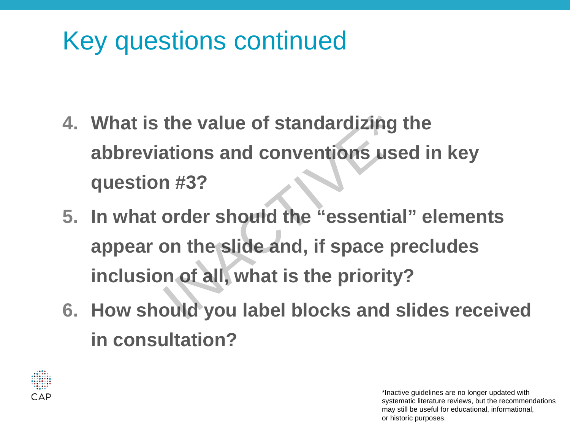#### Key questions continued

- **4. What is the value of standardizing the abbreviations and conventions used in key question #3?**
- **5. In what order should the "essential" elements appear on the slide and, if space precludes inclusion of all, what is the priority?** the value of standardizing t<br>ations and conventions use<br>n #3?<br>order should the "essential<br>on the slide and, if space pr<br>n of all, what is the priority"<br>ould you label blocks and s
- **6. How should you label blocks and slides received in consultation?**

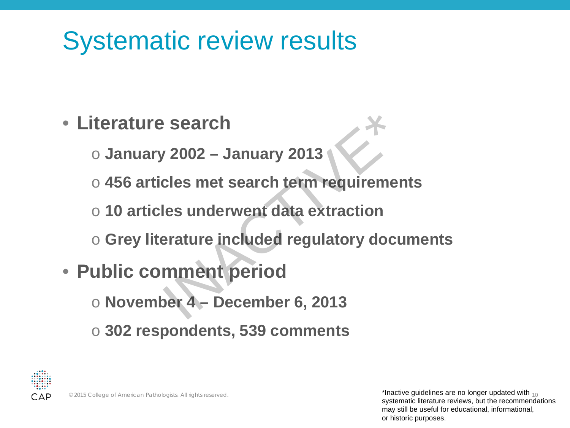#### Systematic review results

- **Literature search** 
	- o **January 2002 – January 2013**
- o **456 articles met search term requirements** Prices Search<br>
19902 - January 2013<br>
19902 - January 2013<br>
19913<br>
1991 - Search term requiremen<br>
1991<br>
1991 - Search Corpulatory docu<br>
1991 - December 6, 2013<br>
1991 - December 6, 2013
	- o **10 articles underwent data extraction**
	- o **Grey literature included regulatory documents**
- **Public comment period** 
	- o **November 4 – December 6, 2013**
	- o **302 respondents, 539 comments**

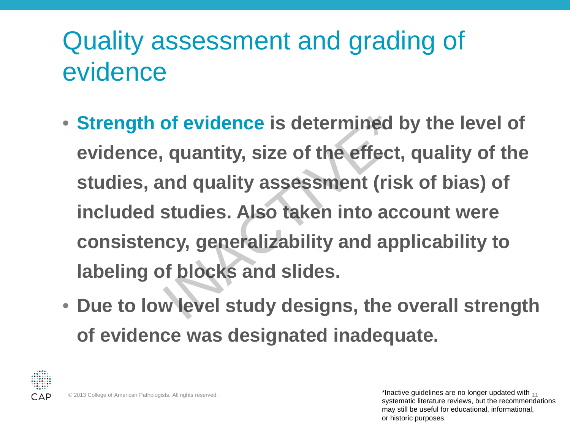#### Quality assessment and grading of evidence

- **Strength of evidence is determined by the level of evidence, quantity, size of the effect, quality of the studies, and quality assessment (risk of bias) of included studies. Also taken into account were consistency, generalizability and applicability to labeling of blocks and slides.** of evidence is determined b<br>quantity, size of the effect,<br>ind quality assessment (risk<br>studies. Also taken into acc<br>icy, generalizability and app<br>of blocks and slides.<br>w level study designs, the o
- **Due to low level study designs, the overall strength of evidence was designated inadequate.**



© 2013 College of American Pathologists. All rights reserved. 11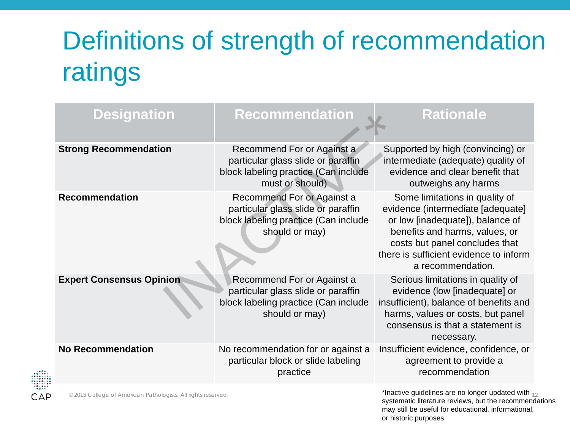### Definitions of strength of recommendation ratings

| <b>Designation</b>              | <b>Recommendation</b>                                                                                                       | <b>Rationale</b>                                                                                                                                                                                                                           |
|---------------------------------|-----------------------------------------------------------------------------------------------------------------------------|--------------------------------------------------------------------------------------------------------------------------------------------------------------------------------------------------------------------------------------------|
| <b>Strong Recommendation</b>    | Recommend For or Against a<br>particular glass slide or paraffin<br>block labeling practice (Can include<br>must or should) | Supported by high (convincing) or<br>intermediate (adequate) quality of<br>evidence and clear benefit that<br>outweighs any harms                                                                                                          |
| <b>Recommendation</b>           | Recommend For or Against a<br>particular glass slide or paraffin<br>block labeling practice (Can include<br>should or may)  | Some limitations in quality of<br>evidence (intermediate [adequate]<br>or low [inadequate]), balance of<br>benefits and harms, values, or<br>costs but panel concludes that<br>there is sufficient evidence to inform<br>a recommendation. |
| <b>Expert Consensus Opinion</b> | Recommend For or Against a<br>particular glass slide or paraffin<br>block labeling practice (Can include<br>should or may)  | Serious limitations in quality of<br>evidence (low [inadequate] or<br>insufficient), balance of benefits and<br>harms, values or costs, but panel<br>consensus is that a statement is<br>necessary.                                        |
| <b>No Recommendation</b>        | No recommendation for or against a<br>particular block or slide labeling<br>practice                                        | Insufficient evidence, confidence, or<br>agreement to provide a<br>recommendation                                                                                                                                                          |

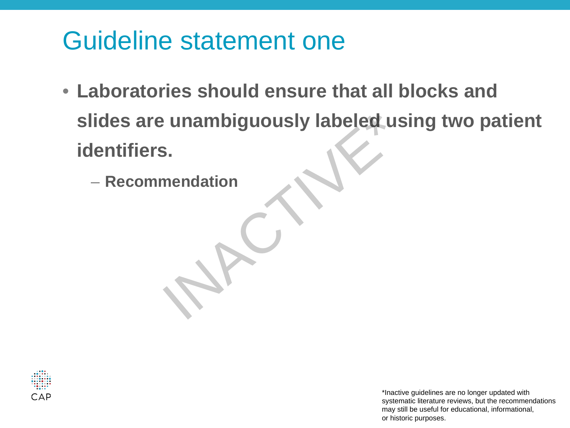#### Guideline statement one

- **Laboratories should ensure that all blocks and slides are unambiguously labeled using two patient identifiers.** – **Recommendation** INACTIVE\*
	-

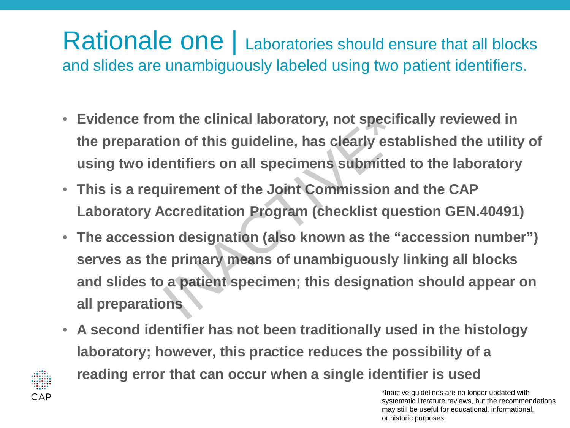#### Rationale one | Laboratories should ensure that all blocks and slides are unambiguously labeled using two patient identifiers.

- **Evidence from the clinical laboratory, not specifically reviewed in the preparation of this guideline, has clearly established the utility of using two identifiers on all specimens submitted to the laboratory**
- **This is a requirement of the Joint Commission and the CAP Laboratory Accreditation Program (checklist question GEN.40491)**
- **The accession designation (also known as the "accession number") serves as the primary means of unambiguously linking all blocks and slides to a patient specimen; this designation should appear on all preparations** m the clinical laboratory, not specific<br>ion of this guideline, has clearly esta<br>entifiers on all specimens submitted<br>uirement of the Joint Commission ar<br>accreditation Program (checklist que<br>on designation (also known as th
- **A second identifier has not been traditionally used in the histology laboratory; however, this practice reduces the possibility of a reading error that can occur when a single identifier is used**

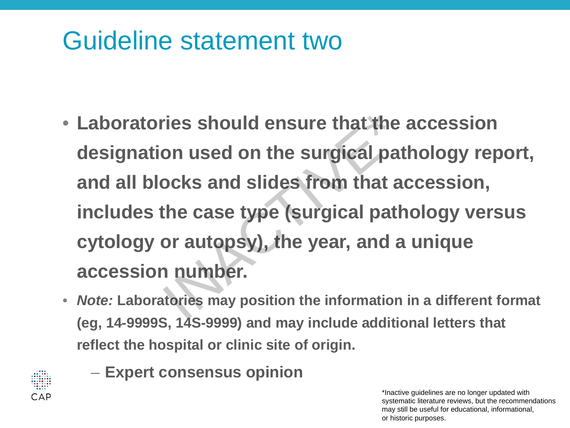#### Guideline statement two

- **Laboratories should ensure that the accession designation used on the surgical pathology report, and all blocks and slides from that accession, includes the case type (surgical pathology versus cytology or autopsy), the year, and a unique accession number.** The should ensure that the<br>
on used on the surgical pat<br>
ocks and slides from that at<br>
the case type (surgical path<br>
or autopsy), the year, and a<br>
n number.<br>
Interies may position the information
- *Note:* **Laboratories may position the information in a different format (eg, 14-9999S, 14S-9999) and may include additional letters that reflect the hospital or clinic site of origin.**



– **Expert consensus opinion**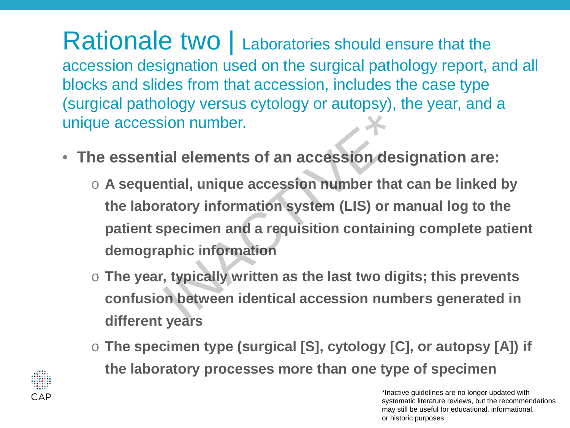Rationale two | Laboratories should ensure that the accession designation used on the surgical pathology report, and all blocks and slides from that accession, includes the case type (surgical pathology versus cytology or autopsy), the year, and a unique accession number.

- **The essential elements of an accession designation are:**
- o **A sequential, unique accession number that can be linked by the laboratory information system (LIS) or manual log to the patient specimen and a requisition containing complete patient demographic information** ion number.<br>
ial elements of an accession desi<br>
intial, unique accession number that<br>
ratory information system (LIS) or ma<br>
pecimen and a requisition containin<br>
phic information<br>
, typically written as the last two digi<br>
	- o **The year, typically written as the last two digits; this prevents confusion between identical accession numbers generated in different years**
	- o **The specimen type (surgical [S], cytology [C], or autopsy [A]) if the laboratory processes more than one type of specimen**



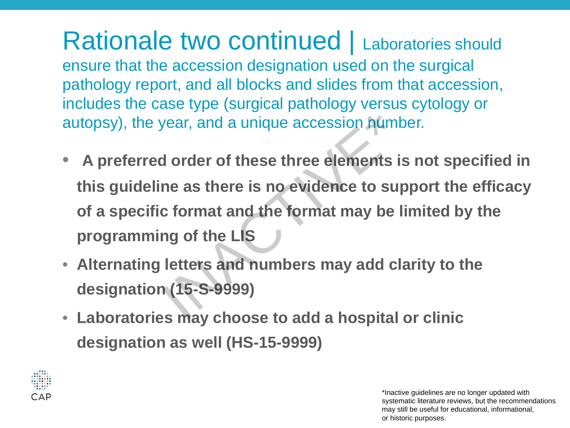Rationale two continued | Laboratories should ensure that the accession designation used on the surgical pathology report, and all blocks and slides from that accession, includes the case type (surgical pathology versus cytology or autopsy), the year, and a unique accession number.

- **A preferred order of these three elements is not specified in this guideline as there is no evidence to support the efficacy of a specific format and the format may be limited by the programming of the LIS** France accession numb<br>
I order of these three elements is<br>
ine as there is no evidence to sup<br>
c format and the format may be li<br>
ing of the LIS<br>
letters and numbers may add cla<br>
i (15-S-9999)
- **Alternating letters and numbers may add clarity to the designation (15-S-9999)**
- **Laboratories may choose to add a hospital or clinic designation as well (HS-15-9999)**

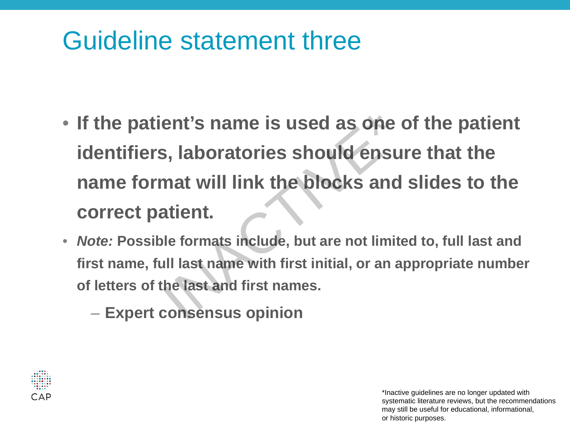#### Guideline statement three

- **If the patient's name is used as one of the patient identifiers, laboratories should ensure that the name format will link the blocks and slides to the correct patient.** the patient's name is used as one c<br>lentifiers, laboratories should ensure<br>ame format will link the blocks and<br>orrect patient.<br>*pte:* Possible formats include, but are not limite<br>st name, full last name with first initial,
- *Note:* **Possible formats include, but are not limited to, full last and first name, full last name with first initial, or an appropriate number of letters of the last and first names.**
	-

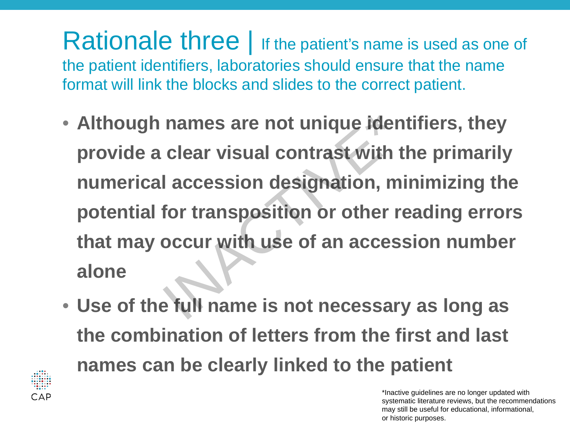Rationale three | If the patient's name is used as one of the patient identifiers, laboratories should ensure that the name format will link the blocks and slides to the correct patient.

- **Although names are not unique identifiers, they provide a clear visual contrast with the primarily numerical accession designation, minimizing the potential for transposition or other reading errors that may occur with use of an accession number alone** names are not unique ident<br>clear visual contrast with the<br>l accession designation, mi<br>for transposition or other re<br>occur with use of an access<br>e full name is not necessary
- **Use of the full name is not necessary as long as the combination of letters from the first and last names can be clearly linked to the patient**

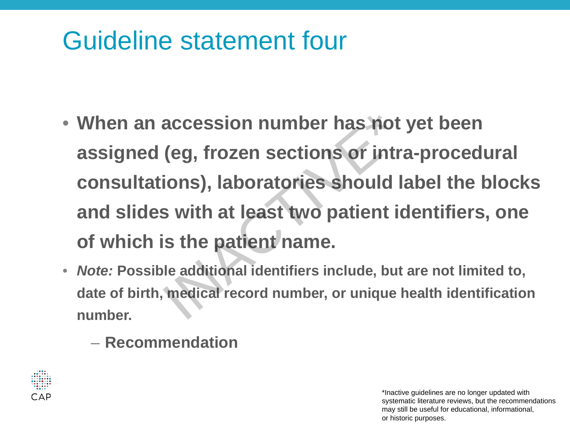#### Guideline statement four

- **When an accession number has not yet been assigned (eg, frozen sections or intra-procedural consultations), laboratories should label the blocks and slides with at least two patient identifiers, one of which is the patient name.** accession number has not<br>
(eg, frozen sections or intra<br>
ions), laboratories should la<br>
is with at least two patient id<br>
is the patient name.<br>
Ile additional identifiers include, but<br>
medical record number, or unique h
- *Note:* **Possible additional identifiers include, but are not limited to, date of birth, medical record number, or unique health identification number.**
	- **Recommendation**

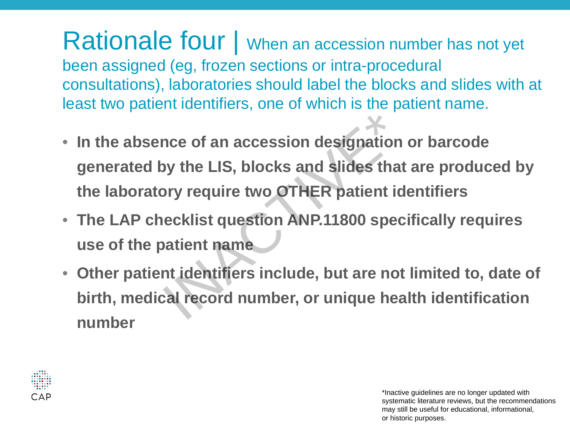Rationale four | When an accession number has not yet been assigned (eg, frozen sections or intra-procedural consultations), laboratories should label the blocks and slides with at least two patient identifiers, one of which is the patient name.

- **In the absence of an accession designation or barcode generated by the LIS, blocks and slides that are produced by the laboratory require two OTHER patient identifiers** In the absence of an accession designation<br>generated by the LIS, blocks and slides that<br>the laboratory require two OTHER patient id<br>The LAP checklist question ANP.11800 spec<br>use of the patient name<br>Other patient identifier
- **The LAP checklist question ANP.11800 specifically requires use of the patient name**
- **Other patient identifiers include, but are not limited to, date of birth, medical record number, or unique health identification**

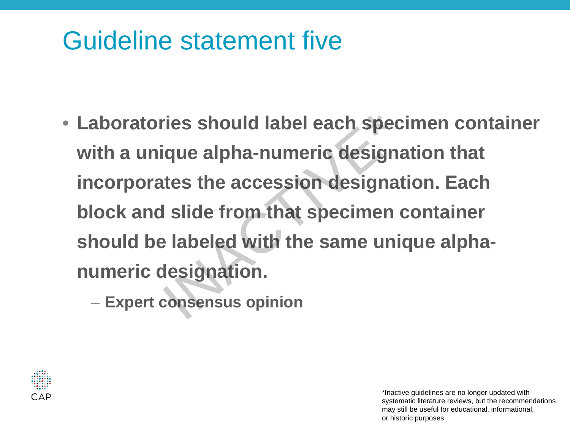#### Guideline statement five

- **Laboratories should label each specimen container with a unique alpha-numeric designation that incorporates the accession designation. Each block and slide from that specimen container should be labeled with the same unique alphanumeric designation.**  aboratories should label each specient<br>ith a unique alpha-numeric designat<br>noorporates the accession designat<br>lock and slide from that specimen consuld be labeled with the same unic<br>umeric designation.<br>- Expert consensus o
	-

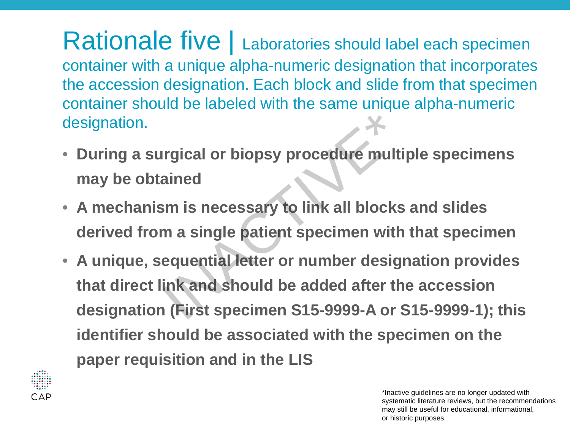Rationale five | Laboratories should label each specimen container with a unique alpha-numeric designation that incorporates the accession designation. Each block and slide from that specimen container should be labeled with the same unique alpha-numeric designation.

- **During a surgical or biopsy procedure multiple specimens may be obtained**
- **A mechanism is necessary to link all blocks and slides derived from a single patient specimen with that specimen**
- **A unique, sequential letter or number designation provides that direct link and should be added after the accession designation (First specimen S15-9999-A or S15-9999-1); this identifier should be associated with the specimen on the paper requisition and in the LIS** Indianal or biopsy procedure multipropriated<br>Income is necessary to link all blocks<br>In a single patient specimen with<br>Equential letter or number design<br>Ink and should be added after the<br>Income S15-9999-A or S

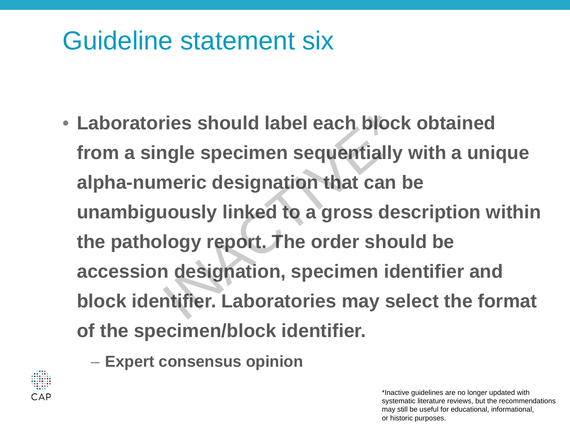#### Guideline statement six

• **Laboratories should label each block obtained from a single specimen sequentially with a unique alpha-numeric designation that can be unambiguously linked to a gross description within the pathology report. The order should be accession designation, specimen identifier and block identifier. Laboratories may select the format of the specimen/block identifier.** ries should label each block<br>
igle specimen sequentially<br>
neric designation that can k<br>
lously linked to a gross des<br>
logy report. The order shou<br>
i designation, specimen ide<br>
itifier. Laboratories may se

– **Expert consensus opinion**

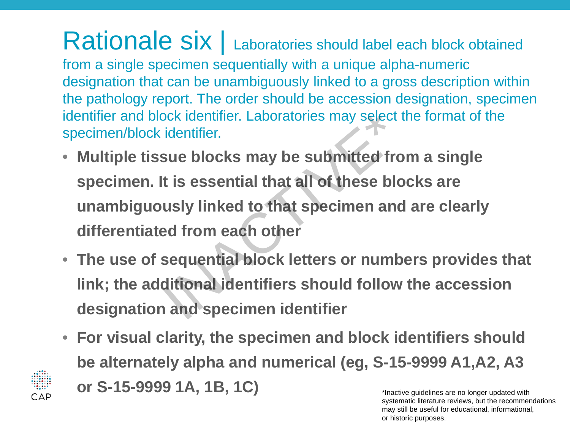Rationale six | Laboratories should label each block obtained from a single specimen sequentially with a unique alpha-numeric designation that can be unambiguously linked to a gross description within the pathology report. The order should be accession designation, specimen identifier and block identifier. Laboratories may select the format of the specimen/block identifier.

- **Multiple tissue blocks may be submitted from a single specimen. It is essential that all of these blocks are unambiguously linked to that specimen and are clearly differentiated from each other** book identifier. Laboratories may select the identifier.<br>
sue blocks may be submitted from<br>
it is essential that all of these block<br>
usly linked to that specimen and<br>
ed from each other<br>
sequential block letters or number<br>
- **The use of sequential block letters or numbers provides that link; the additional identifiers should follow the accession designation and specimen identifier**
- **For visual clarity, the specimen and block identifiers should be alternately alpha and numerical (eg, S-15-9999 A1,A2, A3 or S-15-9999 1A, 1B, 1C)**

CAP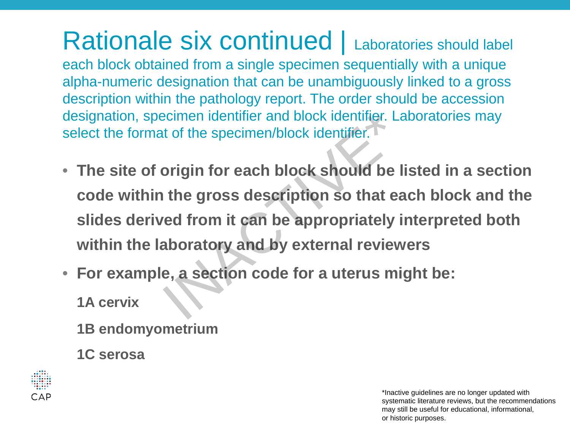Rationale six continued | Laboratories should label each block obtained from a single specimen sequentially with a unique alpha-numeric designation that can be unambiguously linked to a gross description within the pathology report. The order should be accession designation, specimen identifier and block identifier. Laboratories may select the format of the specimen/block identifier.

- **The site of origin for each block should be listed in a section code within the gross description so that each block and the slides derived from it can be appropriately interpreted both within the laboratory and by external reviewers** Example identifier and block identifier. Lat of the specimen/block identifier.<br> **Society** origin for each block should be like the gross description so that early the gross description so that early in aboratory and by ext
- **For example, a section code for a uterus might be:**

**1A cervix**

**1B endomyometrium**

**1C serosa**

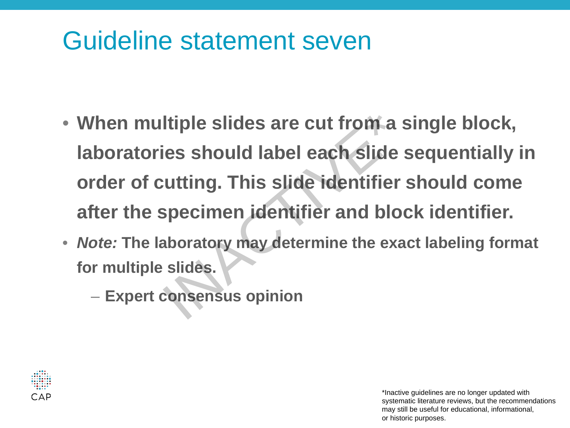#### Guideline statement seven

- **When multiple slides are cut from a single block, laboratories should label each slide sequentially in order of cutting. This slide identifier should come after the specimen identifier and block identifier.** Frame multiple slides are cut from a suboratories should label each slide<br>
Frame of cutting. This slide identifier<br>
Frame identifier and blocker The laboratory may determine the exaction<br>
Internal of the specincy may deter
- *Note:* **The laboratory may determine the exact labeling format for multiple slides.**
	-

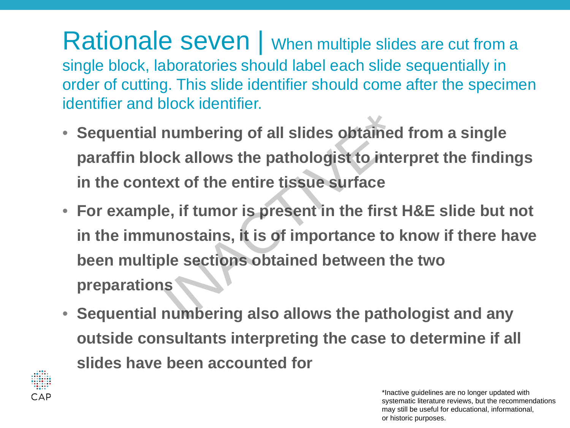Rationale seven | When multiple slides are cut from a single block, laboratories should label each slide sequentially in order of cutting. This slide identifier should come after the specimen identifier and block identifier.

- **Sequential numbering of all slides obtained from a single paraffin block allows the pathologist to interpret the findings in the context of the entire tissue surface**
- **For example, if tumor is present in the first H&E slide but not in the immunostains, it is of importance to know if there have been multiple sections obtained between the two preparations** numbering of all slides obtained<br>ck allows the pathologist to inter<br>ext of the entire tissue surface<br>e, if tumor is present in the first **F**<br>unostains, it is of importance to k<br>ple sections obtained between the<br>s
- **Sequential numbering also allows the pathologist and any outside consultants interpreting the case to determine if all slides have been accounted for**

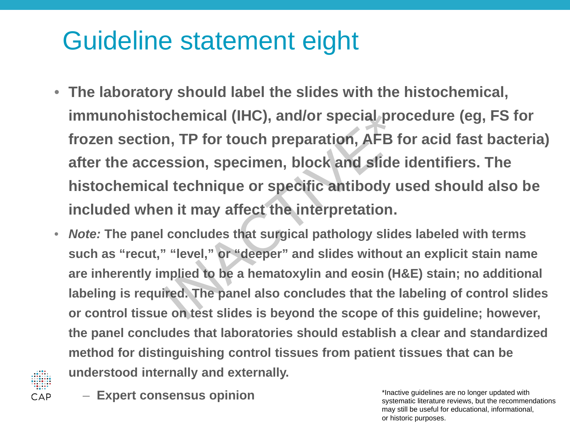#### Guideline statement eight

- **The laboratory should label the slides with the histochemical, immunohistochemical (IHC), and/or special procedure (eg, FS for frozen section, TP for touch preparation, AFB for acid fast bacteria) after the accession, specimen, block and slide identifiers. The histochemical technique or specific antibody used should also be included when it may affect the interpretation.** chemical (IHC), and/or special prom<br>n, TP for touch preparation, AFB for<br>ession, specimen, block and slide in<br>l technique or specific antibody us<br>n it may affect the interpretation.<br>concludes that surgical pathology slides
- *Note:* **The panel concludes that surgical pathology slides labeled with terms such as "recut," "level," or "deeper" and slides without an explicit stain name are inherently implied to be a hematoxylin and eosin (H&E) stain; no additional labeling is required. The panel also concludes that the labeling of control slides or control tissue on test slides is beyond the scope of this guideline; however, the panel concludes that laboratories should establish a clear and standardized method for distinguishing control tissues from patient tissues that can be understood internally and externally.**



– **Expert consensus opinion**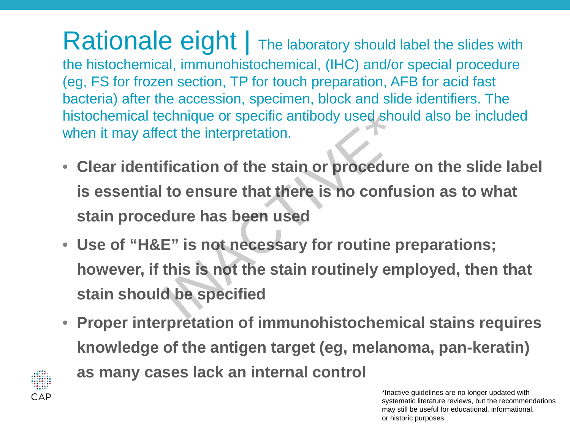Rationale eight | The laboratory should label the slides with the histochemical, immunohistochemical, (IHC) and/or special procedure (eg, FS for frozen section, TP for touch preparation, AFB for acid fast bacteria) after the accession, specimen, block and slide identifiers. The histochemical technique or specific antibody used should also be included when it may affect the interpretation.

- **Clear identification of the stain or procedure on the slide label is essential to ensure that there is no confusion as to what stain procedure has been used** Exercise or specific antibody used shout<br>
Fication of the stain or procedure<br>
to ensure that there is no confus<br>
dure has been used<br>
E" is not necessary for routine p<br>
this is not the stain routinely empt<br>
d be specified
- **Use of "H&E" is not necessary for routine preparations; however, if this is not the stain routinely employed, then that stain should be specified**
- **Proper interpretation of immunohistochemical stains requires knowledge of the antigen target (eg, melanoma, pan-keratin)**



**as many cases lack an internal control**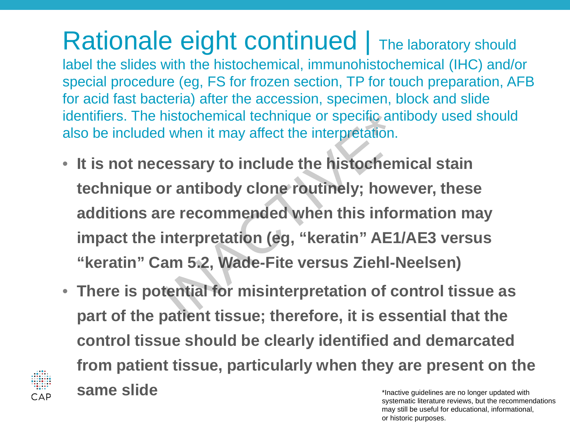Rationale eight continued  $\vert$  The laboratory should label the slides with the histochemical, immunohistochemical (IHC) and/or special procedure (eg, FS for frozen section, TP for touch preparation, AFB for acid fast bacteria) after the accession, specimen, block and slide identifiers. The histochemical technique or specific antibody used should also be included when it may affect the interpretation.

- **It is not necessary to include the histochemical stain technique or antibody clone routinely; however, these additions are recommended when this information may impact the interpretation (eg, "keratin" AE1/AE3 versus "keratin" Cam 5.2, Wade-Fite versus Ziehl-Neelsen)** nistochemical technique or specific antil<br>I when it may affect the interpretation.<br>
ressary to include the histochemi<br>
or antibody clone routinely; howe<br>
re recommended when this inform<br>
interpretation (eg, "keratin" AE1/<br>
- **There is potential for misinterpretation of control tissue as part of the patient tissue; therefore, it is essential that the control tissue should be clearly identified and demarcated from patient tissue, particularly when they are present on the same slide** \*Inactive guidelines are no longer updated with



systematic literature reviews, but the recommendations may still be useful for educational, informational, or historic purposes.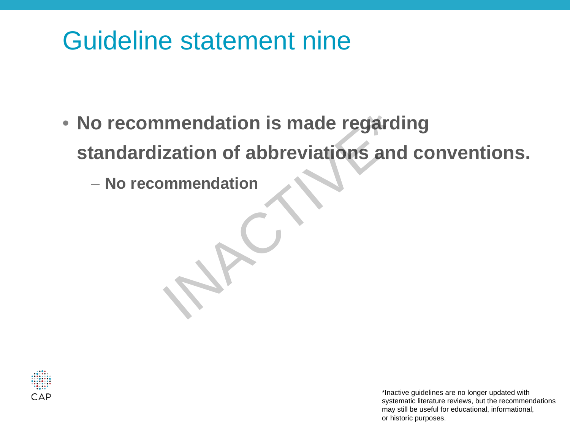#### Guideline statement nine

- **No recommendation is made regarding standardization of abbreviations and conventions.** o recommendation is made regardit<br>
tandardization of abbreviations and<br>
— No recommendation<br>
— No recommendation
	-

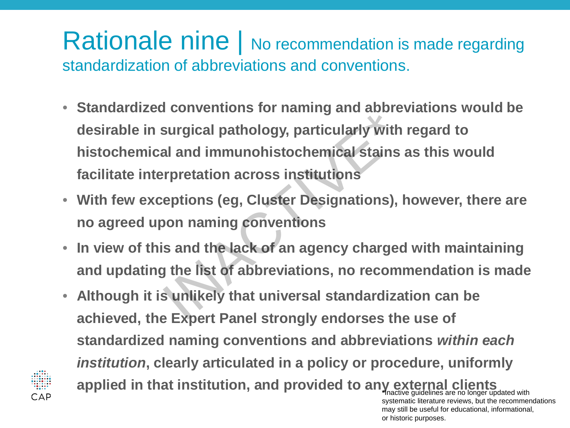#### Rationale nine | No recommendation is made regarding standardization of abbreviations and conventions.

- **Standardized conventions for naming and abbreviations would be desirable in surgical pathology, particularly with regard to histochemical and immunohistochemical stains as this would facilitate interpretation across institutions**  Surgical pathology, particularly with<br>al and immunohistochemical stains are<br>repretation across institutions<br>reptions (eg, Cluster Designations), h<br>pon naming conventions<br>is and the lack of an agency charged<br>g the list of a
- **With few exceptions (eg, Cluster Designations), however, there are no agreed upon naming conventions**
- **In view of this and the lack of an agency charged with maintaining and updating the list of abbreviations, no recommendation is made**
- **Although it is unlikely that universal standardization can be achieved, the Expert Panel strongly endorses the use of standardized naming conventions and abbreviations** *within each institution***, clearly articulated in a policy or procedure, uniformly applied in that institution, and provided to any external clients** \*Inactive guidelines are no longer updated with systematic literature reviews, but the recommendations

may still be useful for educational, informational,

or historic purposes.

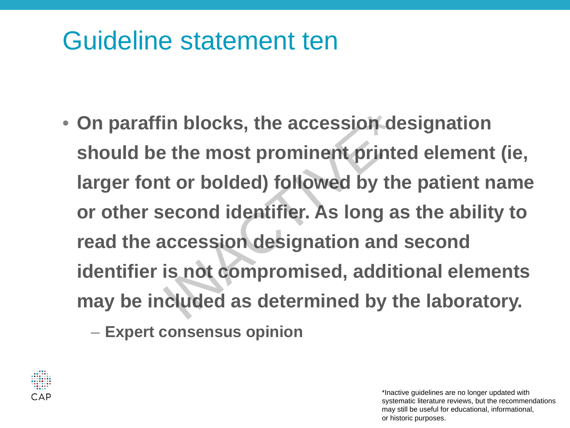#### Guideline statement ten

- **On paraffin blocks, the accession designation should be the most prominent printed element (ie, larger font or bolded) followed by the patient name or other second identifier. As long as the ability to read the accession designation and second identifier is not compromised, additional elements may be included as determined by the laboratory.**  in blocks, the accession de<br>
External the most prominent printe<br>
Internal to the most prominent printe<br>
External identifier. As long as<br>
Exercession designation and s<br>
Internal is not compromised, addition<br>
Internal to the
	- **Expert consensus opinion**

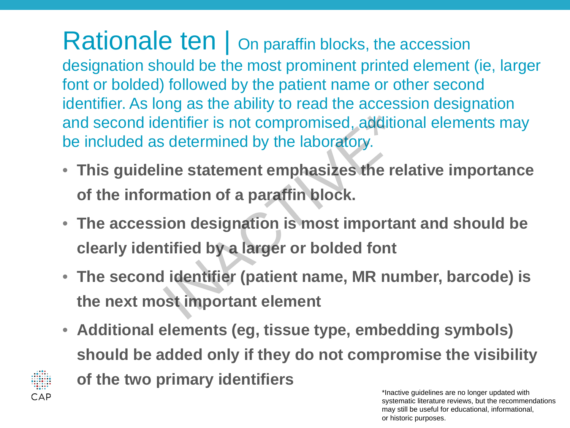Rationale ten | On paraffin blocks, the accession designation should be the most prominent printed element (ie, larger font or bolded) followed by the patient name or other second identifier. As long as the ability to read the accession designation and second identifier is not compromised, additional elements may be included as determined by the laboratory.

- **This guideline statement emphasizes the relative importance of the information of a paraffin block.**
- **The accession designation is most important and should be clearly identified by a larger or bolded font** entifier is not compromised, addition<br>
is determined by the laboratory.<br>
ine statement emphasizes the rel<br>
mation of a paraffin block.<br>
ion designation is most importar<br>
tified by a larger or bolded font<br>
l identifier (pat
- **The second identifier (patient name, MR number, barcode) is the next most important element**
- **Additional elements (eg, tissue type, embedding symbols) should be added only if they do not compromise the visibility**



**of the two primary identifiers**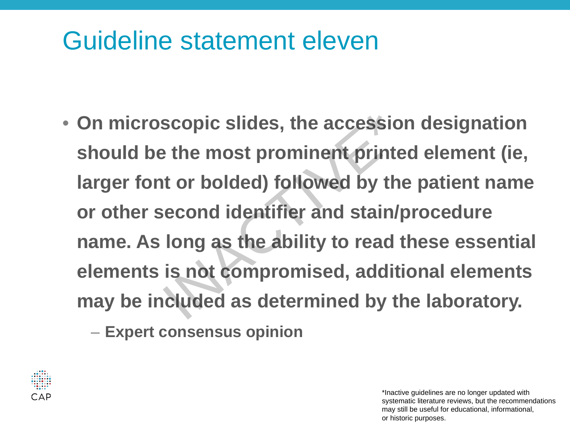#### Guideline statement eleven

• **On microscopic slides, the accession designation should be the most prominent printed element (ie, larger font or bolded) followed by the patient name or other second identifier and stain/procedure name. As long as the ability to read these essential elements is not compromised, additional elements may be included as determined by the laboratory.** scopic slides, the accession<br>
is the most prominent printe<br>
it or bolded) followed by the<br>
is comptomised, additived as determined by the<br>
cluded as determined by the

– **Expert consensus opinion**

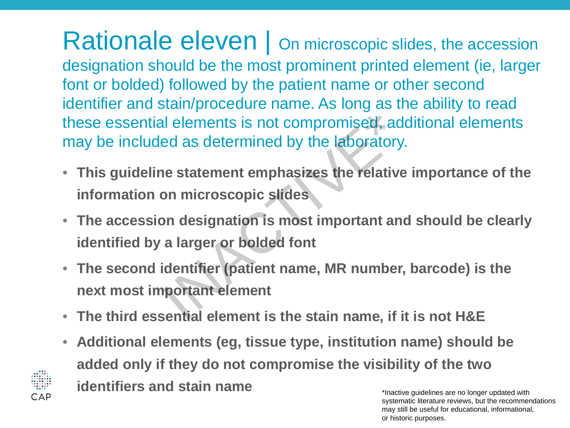Rationale eleven | On microscopic slides, the accession designation should be the most prominent printed element (ie, larger font or bolded) followed by the patient name or other second identifier and stain/procedure name. As long as the ability to read these essential elements is not compromised, additional elements may be included as determined by the laboratory. I elements is not compromised, add<br>ed as determined by the laboratory.<br>ne statement emphasizes the relative<br>on microscopic slides<br>on designation is most important and<br>a larger or bolded font<br>identifier (patient name, MR nu

- **This guideline statement emphasizes the relative importance of the information on microscopic slides**
- **The accession designation is most important and should be clearly identified by a larger or bolded font**
- **The second identifier (patient name, MR number, barcode) is the next most important element**
- **The third essential element is the stain name, if it is not H&E**

CAP

• **Additional elements (eg, tissue type, institution name) should be added only if they do not compromise the visibility of the two identifiers and stain name**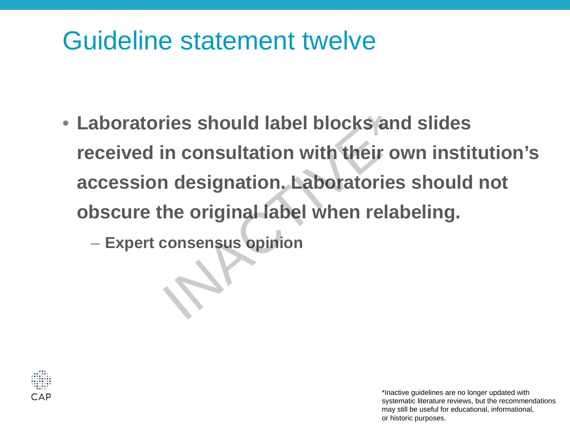#### Guideline statement twelve

• **Laboratories should label blocks and slides received in consultation with their own institution's accession designation. Laboratories should not obscure the original label when relabeling.** Frank provides should label blocks and<br>experience in consultation with their overcession designation. Laboratories<br>bscure the original label when relab<br>- Expert consensus opinion

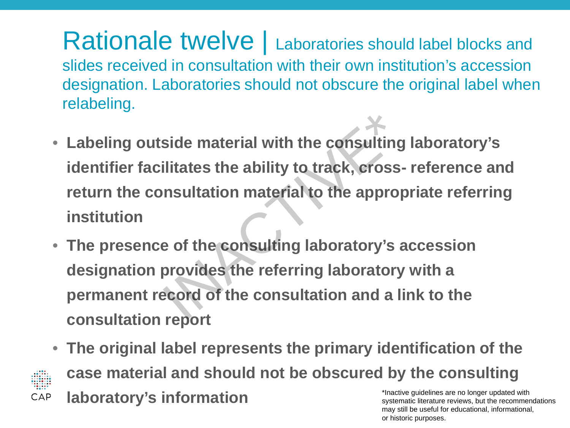Rationale twelve | Laboratories should label blocks and slides received in consultation with their own institution's accession designation. Laboratories should not obscure the original label when relabeling.

- **Labeling outside material with the consulting laboratory's identifier facilitates the ability to track, cross- reference and return the consultation material to the appropriate referring institution** side material with the consulting<br>ilitates the ability to track, cross-<br>nsultation material to the approp<br>e of the consulting laboratory's a<br>provides the referring laboratory<br>ecord of the consultation and a lin
- **The presence of the consulting laboratory's accession designation provides the referring laboratory with a permanent record of the consultation and a link to the consultation report**
- **The original label represents the primary identification of the case material and should not be obscured by the consulting**  \*Inactive guidelines are no longer updated with **laboratory's information** CAP

systematic literature reviews, but the recommendations may still be useful for educational, informational, or historic purposes.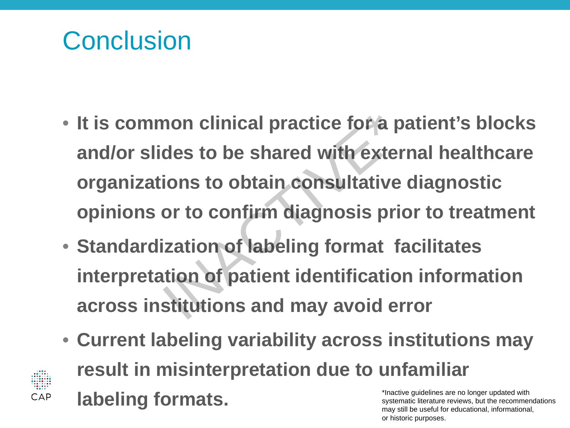#### Conclusion

 $CAP$ 

- **It is common clinical practice for a patient's blocks and/or slides to be shared with external healthcare organizations to obtain consultative diagnostic opinions or to confirm diagnosis prior to treatment**  non clinical practice for a pa<br>des to be shared with exteri<br>ions to obtain consultative<br>or to confirm diagnosis pric<br>ization of labeling format fa<br>ition of patient identificatior<br>stitutions and may avoid er
- **Standardization of labeling format facilitates interpretation of patient identification information across institutions and may avoid error**
- **Current labeling variability across institutions may result in misinterpretation due to unfamiliar labeling formats.** \*Inactive guidelines are no longer updated with systematic literature reviews, but the recommendations

may still be useful for educational, informational,

or historic purposes.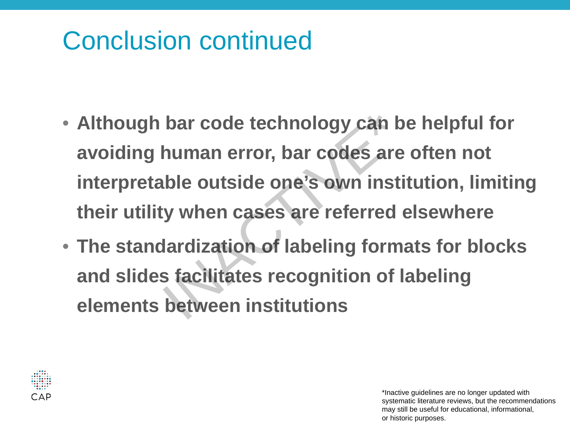#### Conclusion continued

- **Although bar code technology can be helpful for avoiding human error, bar codes are often not interpretable outside one's own institution, limiting their utility when cases are referred elsewhere** Although bar code technology can be<br>avoiding human error, bar codes are<br>interpretable outside one's own instit<br>their utility when cases are referred of<br>The standardization of labeling forma<br>and slides facilitates recogniti
- **The standardization of labeling formats for blocks and slides facilitates recognition of labeling**

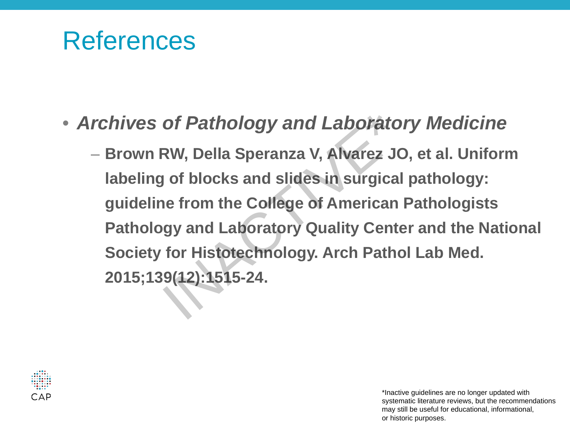#### References

- *Archives of Pathology and Laboratory Medicine*
- **Brown RW, Della Speranza V, Alvarez JO, et al. Uniform labeling of blocks and slides in surgical pathology: guideline from the College of American Pathologists Pathology and Laboratory Quality Center and the National Society for Histotechnology. Arch Pathol Lab Med. 2015;139(12):1515-24. Profile Spenantical Spenantic Spenantic Spenantic Spenantic Spenantic Spenantic Spenantic Spenantic Spenantic Spenantic Spenantic Spenantic Spenantic Spenantic Spenantic Spenantic Spenantic Spenantic**

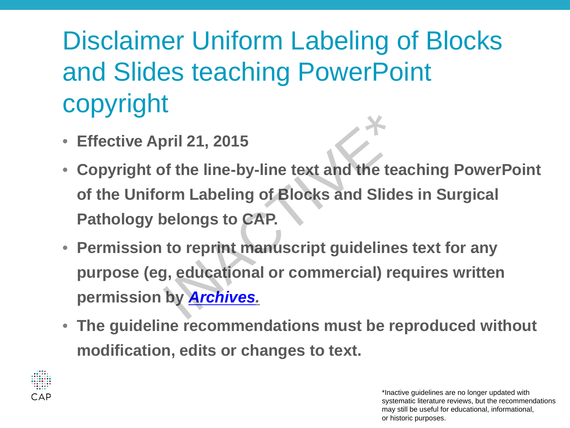## Disclaimer Uniform Labeling of Blocks and Slides teaching PowerPoint copyright

- **Effective April 21, 2015**
- **Copyright of the line-by-line text and the teaching PowerPoint of the Uniform Labeling of Blocks and Slides in Surgical Pathology belongs to CAP.**  oril 21, 2015<br>of the line-by-line text and the tea<br>orm Labeling of Blocks and Slides<br>pelongs to CAP.<br>to reprint manuscript guidelines<br>g, educational or commercial) rec<br>by <u>Archives.</u>
- **Permission to reprint manuscript guidelines text for any purpose (eg, educational or commercial) requires written permission by** *Archives.*
- **The guideline recommendations must be reproduced without modification, edits or changes to text.**